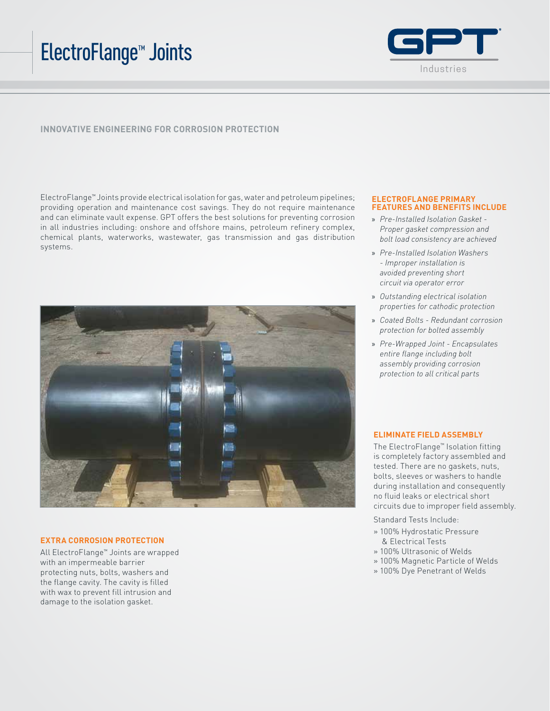# ElectroFlange™ Joints



## **INNOVATIVE ENGINEERING FOR CORROSION PROTECTION**

ElectroFlange™ Joints provide electrical isolation for gas, water and petroleum pipelines; providing operation and maintenance cost savings. They do not require maintenance and can eliminate vault expense. GPT offers the best solutions for preventing corrosion in all industries including: onshore and offshore mains, petroleum refinery complex, chemical plants, waterworks, wastewater, gas transmission and gas distribution systems.



#### **EXTRA CORROSION PROTECTION**

All ElectroFlange™ Joints are wrapped with an impermeable barrier protecting nuts, bolts, washers and the flange cavity. The cavity is filled with wax to prevent fill intrusion and damage to the isolation gasket.

#### **ELECTROFLANGE PRIMARY FEATURES AND BENEFITS INCLUDE**

- » *Pre-Installed Isolation Gasket Proper gasket compression and bolt load consistency are achieved*
- » *Pre-Installed Isolation Washers - Improper installation is avoided preventing short circuit via operator error*
- » *Outstanding electrical isolation properties for cathodic protection*
- » *Coated Bolts Redundant corrosion protection for bolted assembly*
- » *Pre-Wrapped Joint Encapsulates entire flange including bolt assembly providing corrosion protection to all critical parts*

#### **ELIMINATE FIELD ASSEMBLY**

The ElectroFlange™ Isolation fitting is completely factory assembled and tested. There are no gaskets, nuts, bolts, sleeves or washers to handle during installation and consequently no fluid leaks or electrical short circuits due to improper field assembly.

Standard Tests Include:

- » 100% Hydrostatic Pressure & Electrical Tests
- » 100% Ultrasonic of Welds
- » 100% Magnetic Particle of Welds
- » 100% Dye Penetrant of Welds